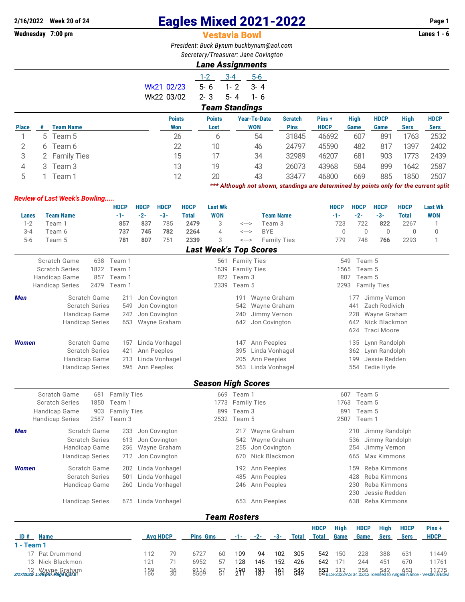## **2/16/2022** Week 20 of 24 **Eagles Mixed 2021-2022** Page 1<br>**Wednesday 7:00 pm Page 1 Vestavia Bowl**

## **Vestavia Bowl**

*President: Buck Bynum [buckbynum@aol.com](mailto:buckbynum@aol.com) Secretary/Treasurer: Jane Covington*

## *Lane Assignments*

|              |                       |                    |  |               | $1 - 2$       | $3 - 4$ | $5-6$               |                |             |             |             |             |             |
|--------------|-----------------------|--------------------|--|---------------|---------------|---------|---------------------|----------------|-------------|-------------|-------------|-------------|-------------|
|              |                       |                    |  | Wk21 02/23    | 5-6           | $1 - 2$ | $3 - 4$             |                |             |             |             |             |             |
|              |                       |                    |  | Wk22 03/02    | $2 - 3$       | $5 - 4$ | 1-6                 |                |             |             |             |             |             |
|              | <b>Team Standings</b> |                    |  |               |               |         |                     |                |             |             |             |             |             |
|              |                       |                    |  | <b>Points</b> | <b>Points</b> |         | <b>Year-To-Date</b> | <b>Scratch</b> | Pins +      | <b>High</b> | <b>HDCP</b> | <b>High</b> | <b>HDCP</b> |
| <b>Place</b> | #                     | <b>Team Name</b>   |  | Won           | Lost          |         | <b>WON</b>          | <b>Pins</b>    | <b>HDCP</b> | Game        | Game        | <b>Sers</b> | <b>Sers</b> |
|              |                       | 5 Team 5           |  | 26            | 6             |         | 54                  | 31845          | 46692       | 607         | 891         | 1763        | 2532        |
| 2            | 6                     | Team 6             |  | 22            | 10            |         | 46                  | 24797          | 45590       | 482         | 817         | 1397        | 2402        |
| 3            | 2                     | <b>Family Ties</b> |  | 15            | 17            |         | 34                  | 32989          | 46207       | 681         | 903         | 1773        | 2439        |
| 4            |                       | 3 Team 3           |  | 13            | 19            |         | 43                  | 26073          | 43968       | 584         | 899         | 1642        | 2587        |
| 5            |                       | Team 1             |  | 12            | 20            |         | 43                  | 33477          | 46800       | 669         | 885         | 1850        | 2507        |

*\*\*\* Although not shown, standings are determined by points only for the current split*

## *Review of Last Week's Bowling.....*

|                                               |                                                        |                     | <b>HDCP</b>        | <b>HDCP</b>     | <b>HDCP</b>                          | <b>HDCP</b>  | <b>Last Wk</b>                |                      |                    |                    |              |                      | <b>HDCP</b>          | <b>HDCP</b>      | <b>HDCP</b>        | <b>HDCP</b>  | <b>Last Wk</b> |  |  |  |
|-----------------------------------------------|--------------------------------------------------------|---------------------|--------------------|-----------------|--------------------------------------|--------------|-------------------------------|----------------------|--------------------|--------------------|--------------|----------------------|----------------------|------------------|--------------------|--------------|----------------|--|--|--|
| <b>Lanes</b>                                  | <b>Team Name</b>                                       |                     | -1-                | $-2-$           | $-3-$                                | <b>Total</b> | <b>WON</b>                    |                      |                    | <b>Team Name</b>   |              |                      | -1-                  | $-2-$            | $-3-$              | <b>Total</b> | <b>WON</b>     |  |  |  |
| $1 - 2$                                       | Team 1                                                 |                     | 857                | 837             | 785                                  | 2479         | 3                             | <--->                |                    | Team 3             |              |                      | 723                  | 722              | 822                | 2267         | $\mathbf{1}$   |  |  |  |
| $3 - 4$                                       | Team 6                                                 |                     | 737                | 745             | 782                                  | 2264         | $\overline{4}$                | <--->                | <b>BYE</b>         |                    |              |                      | $\mathbf 0$          | $\mathbf 0$      | $\mathbf{0}$       | $\mathbf 0$  | $\mathbf 0$    |  |  |  |
| $5-6$                                         | Team 5                                                 |                     | 781                | 807             | 751                                  | 2339         | 3                             | <--->                |                    | <b>Family Ties</b> |              |                      | 779                  | 748              | 766                | 2293         | $\mathbf{1}$   |  |  |  |
|                                               |                                                        |                     |                    |                 |                                      |              | <b>Last Week's Top Scores</b> |                      |                    |                    |              |                      |                      |                  |                    |              |                |  |  |  |
|                                               | Scratch Game                                           |                     | 638 Team 1         |                 |                                      |              |                               | 561 Family Ties      |                    |                    |              |                      | 549                  | Team 5           |                    |              |                |  |  |  |
|                                               | <b>Scratch Series</b>                                  | 1822                | Team 1             |                 |                                      |              | 1639                          |                      | <b>Family Ties</b> |                    |              |                      | 1565                 | Team 5           |                    |              |                |  |  |  |
|                                               | Handicap Game<br>857<br>Team 1                         |                     |                    |                 |                                      |              | 822                           | Team 3               |                    |                    |              |                      | 807                  | Team 5           |                    |              |                |  |  |  |
|                                               | 2479<br>Team 1<br><b>Handicap Series</b>               |                     |                    |                 |                                      |              | 2339                          | Team 5               |                    |                    |              |                      |                      | 2293 Family Ties |                    |              |                |  |  |  |
| Men                                           |                                                        | Scratch Game        | 211                |                 | Jon Covington                        |              |                               | 191                  |                    | Wayne Graham       |              |                      |                      | 177              | Jimmy Vernon       |              |                |  |  |  |
|                                               | <b>Scratch Series</b>                                  |                     | 549                |                 | Jon Covington                        |              |                               | 542                  |                    | Wayne Graham       |              |                      |                      | 441              | Zach Rodivich      |              |                |  |  |  |
|                                               | Handicap Game                                          |                     | 242                |                 | Jon Covington                        |              |                               | 240                  |                    | Jimmy Vernon       |              |                      |                      | 228              | Wayne Graham       |              |                |  |  |  |
|                                               | <b>Handicap Series</b>                                 |                     | 653                |                 | Wayne Graham                         |              |                               | Jon Covington<br>642 |                    |                    |              |                      | 642                  | Nick Blackmon    |                    |              |                |  |  |  |
|                                               |                                                        |                     |                    |                 |                                      |              |                               |                      |                    |                    |              |                      |                      | 624              | <b>Traci Moore</b> |              |                |  |  |  |
| <b>Women</b>                                  | Scratch Game<br><b>Scratch Series</b><br>Handicap Game |                     | 157                |                 | Linda Vonhagel                       |              |                               | 147                  |                    | Ann Peeples        |              |                      |                      | 135              | Lynn Randolph      |              |                |  |  |  |
|                                               |                                                        |                     | 421                |                 | Ann Peeples                          |              | Linda Vonhagel<br>395         |                      |                    |                    |              |                      | Lynn Randolph<br>362 |                  |                    |              |                |  |  |  |
|                                               |                                                        |                     | 213                |                 | Linda Vonhagel<br>Ann Peeples<br>205 |              |                               |                      |                    |                    |              | Jessie Redden<br>199 |                      |                  |                    |              |                |  |  |  |
|                                               | <b>Handicap Series</b>                                 |                     | 595                |                 | Ann Peeples                          |              |                               | 563                  |                    | Linda Vonhagel     |              |                      |                      | 554              | Eedie Hyde         |              |                |  |  |  |
|                                               |                                                        |                     |                    |                 |                                      |              | <b>Season High Scores</b>     |                      |                    |                    |              |                      |                      |                  |                    |              |                |  |  |  |
|                                               | Scratch Game                                           | 681                 | <b>Family Ties</b> |                 |                                      |              |                               | 669 Team 1           |                    |                    |              |                      | 607                  | Team 5           |                    |              |                |  |  |  |
|                                               | <b>Scratch Series</b>                                  | 1850                | Team 1             |                 |                                      |              | 1773                          |                      | <b>Family Ties</b> |                    |              |                      | 1763                 | Team 5           |                    |              |                |  |  |  |
|                                               | <b>Handicap Game</b>                                   | 903                 | <b>Family Ties</b> |                 |                                      |              | 899                           | Team 3               |                    |                    |              |                      |                      | Team 5<br>891    |                    |              |                |  |  |  |
|                                               | <b>Handicap Series</b>                                 | 2587                | Team 3             |                 |                                      |              | 2532                          | Team 5               |                    |                    |              |                      | 2507 Team 1          |                  |                    |              |                |  |  |  |
| Men                                           |                                                        | <b>Scratch Game</b> | 233                |                 | Jon Covington                        |              |                               | 217                  |                    | Wayne Graham       |              |                      |                      | 210              | Jimmy Randolph     |              |                |  |  |  |
|                                               | <b>Scratch Series</b>                                  |                     | 613                |                 | Jon Covington                        |              |                               | 542                  |                    | Wayne Graham       |              |                      |                      | 536              | Jimmy Randolph     |              |                |  |  |  |
|                                               | Handicap Game                                          |                     | 256                |                 | Wayne Graham                         |              |                               | 255                  |                    | Jon Covington      |              |                      |                      | 254              | Jimmy Vernon       |              |                |  |  |  |
|                                               | <b>Handicap Series</b>                                 |                     | 712                |                 | Jon Covington                        |              |                               | 670                  |                    | Nick Blackmon      |              |                      |                      | 665              | Max Kimmons        |              |                |  |  |  |
| <b>Women</b>                                  |                                                        | <b>Scratch Game</b> |                    |                 | 202 Linda Vonhagel                   |              |                               | 192                  |                    | Ann Peeples        |              |                      |                      | 159              | Reba Kimmons       |              |                |  |  |  |
|                                               | <b>Scratch Series</b>                                  |                     | 501                |                 | Linda Vonhagel                       |              |                               | 485                  |                    | Ann Peeples        |              |                      |                      | 428              | Reba Kimmons       |              |                |  |  |  |
|                                               | Handicap Game                                          |                     | 260                |                 | Linda Vonhagel                       |              |                               | 246                  |                    | Ann Peeples        |              |                      |                      | 230              | Reba Kimmons       |              |                |  |  |  |
|                                               |                                                        |                     |                    |                 |                                      |              |                               |                      |                    |                    |              |                      |                      | 230              | Jessie Redden      |              |                |  |  |  |
|                                               | <b>Handicap Series</b>                                 |                     | 675                |                 | Linda Vonhagel                       |              |                               | 653                  |                    | Ann Peeples        |              |                      |                      | 638              | Reba Kimmons       |              |                |  |  |  |
|                                               |                                                        |                     |                    |                 |                                      |              |                               |                      |                    |                    |              |                      |                      |                  |                    |              |                |  |  |  |
|                                               |                                                        |                     |                    |                 |                                      |              | <b>Team Rosters</b>           |                      |                    |                    |              |                      |                      |                  |                    |              |                |  |  |  |
|                                               |                                                        |                     |                    |                 |                                      |              |                               |                      |                    |                    |              | <b>HDCP</b>          | <b>High</b>          | <b>HDCP</b>      | <b>High</b>        | <b>HDCP</b>  | Pins+          |  |  |  |
| ID#<br><b>Name</b><br>$1 - Team 1$            |                                                        |                     |                    | <b>Avg HDCP</b> | <b>Pins Gms</b>                      |              | -1-                           | $-2-$                | $-3-$              | <b>Total</b>       | <b>Total</b> | Game                 | Game                 | <b>Sers</b>      | <b>Sers</b>        | <b>HDCP</b>  |                |  |  |  |
|                                               | 17 Pat Drummond                                        |                     |                    | 112             | 79                                   | 6727         |                               | 109                  | 94                 | 102                | 305          | 542                  | 150                  | 228              | 388                | 631          | 11449          |  |  |  |
|                                               | 13 Nick Blackmon                                       |                     |                    | 121             | 71                                   | 6952         | 60<br>57                      | 128                  | 146                | 152                | 426          | 642                  | 171                  | 244              | 451                | 670          | 11761          |  |  |  |
|                                               |                                                        |                     |                    |                 |                                      |              |                               |                      |                    |                    |              |                      |                      |                  |                    |              |                |  |  |  |
| 12 Wayne Graham<br>2/17/2023 1:40pm rayangkan |                                                        |                     |                    | 158             | 36                                   | 8334         | $\overline{5}$ <sup>7</sup>   | 399                  | 18 <sup>1</sup>    | 191                | 543          | 653                  | 217                  |                  |                    |              |                |  |  |  |